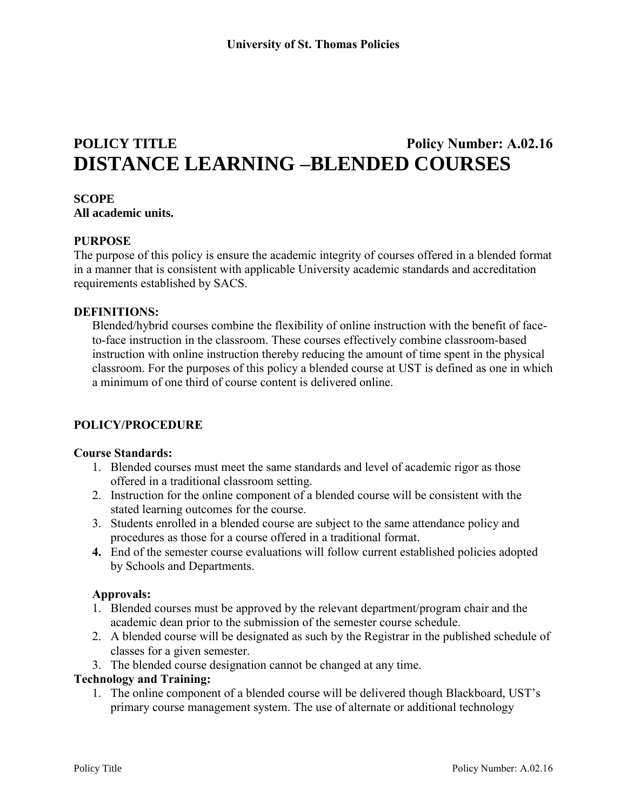# **POLICY TITLE POLICY Policy Number: A.02.16 DISTANCE LEARNING –BLENDED COURSES**

# **SCOPE**

**All academic units.**

#### **PURPOSE**

The purpose of this policy is ensure the academic integrity of courses offered in a blended format in a manner that is consistent with applicable University academic standards and accreditation requirements established by SACS.

#### **DEFINITIONS:**

Blended/hybrid courses combine the flexibility of online instruction with the benefit of faceto-face instruction in the classroom. These courses effectively combine classroom-based instruction with online instruction thereby reducing the amount of time spent in the physical classroom. For the purposes of this policy a blended course at UST is defined as one in which a minimum of one third of course content is delivered online.

### **POLICY/PROCEDURE**

#### **Course Standards:**

- 1. Blended courses must meet the same standards and level of academic rigor as those offered in a traditional classroom setting.
- 2. Instruction for the online component of a blended course will be consistent with the stated learning outcomes for the course.
- 3. Students enrolled in a blended course are subject to the same attendance policy and procedures as those for a course offered in a traditional format.
- **4.** End of the semester course evaluations will follow current established policies adopted by Schools and Departments.

#### **Approvals:**

- 1. Blended courses must be approved by the relevant department/program chair and the academic dean prior to the submission of the semester course schedule.
- 2. A blended course will be designated as such by the Registrar in the published schedule of classes for a given semester.
- 3. The blended course designation cannot be changed at any time.

#### **Technology and Training:**

1. The online component of a blended course will be delivered though Blackboard, UST's primary course management system. The use of alternate or additional technology